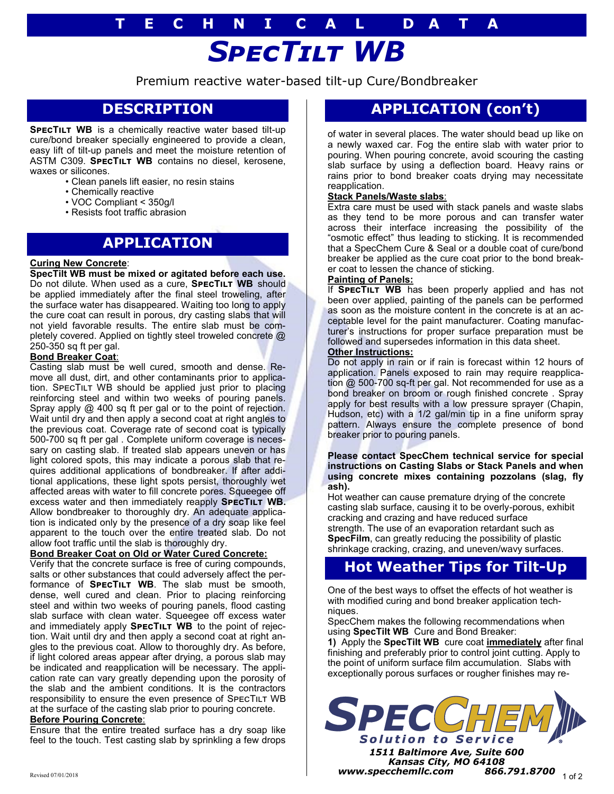# *SpecTilt WB* **T E C H N I C A L D A T A**

Premium reactive water-based tilt-up Cure/Bondbreaker

## **DESCRIPTION**

**SPECTILT WB** is a chemically reactive water based tilt-up cure/bond breaker specially engineered to provide a clean, easy lift of tilt-up panels and meet the moisture retention of ASTM C309. **SPECTILT WB** contains no diesel, kerosene, waxes or silicones.

- Clean panels lift easier, no resin stains
- Chemically reactive
- VOC Compliant < 350g/l
- Resists foot traffic abrasion

### **APPLICATION**

### **Curing New Concrete**:

**SpecTilt WB must be mixed or agitated before each use.**  Do not dilute. When used as a cure, **SPECTILT WB** should be applied immediately after the final steel troweling, after the surface water has disappeared. Waiting too long to apply the cure coat can result in porous, dry casting slabs that will not yield favorable results. The entire slab must be completely covered. Applied on tightly steel troweled concrete @ 250-350 sq ft per gal.

### **Bond Breaker Coat**:

Casting slab must be well cured, smooth and dense. Remove all dust, dirt, and other contaminants prior to application. SPECTILT WB should be applied just prior to placing reinforcing steel and within two weeks of pouring panels. Spray apply @ 400 sq ft per gal or to the point of rejection. Wait until dry and then apply a second coat at right angles to the previous coat. Coverage rate of second coat is typically 500-700 sq ft per gal . Complete uniform coverage is necessary on casting slab. If treated slab appears uneven or has light colored spots, this may indicate a porous slab that requires additional applications of bondbreaker. If after additional applications, these light spots persist, thoroughly wet affected areas with water to fill concrete pores. Squeegee off excess water and then immediately reapply **SPECTILT WB.** Allow bondbreaker to thoroughly dry. An adequate application is indicated only by the presence of a dry soap like feel apparent to the touch over the entire treated slab. Do not allow foot traffic until the slab is thoroughly dry.

### **Bond Breaker Coat on Old or Water Cured Concrete:**

Verify that the concrete surface is free of curing compounds, salts or other substances that could adversely affect the performance of **SPECTILT WB**. The slab must be smooth, dense, well cured and clean. Prior to placing reinforcing steel and within two weeks of pouring panels, flood casting slab surface with clean water. Squeegee off excess water and immediately apply **SPECTILT WB** to the point of rejection. Wait until dry and then apply a second coat at right angles to the previous coat. Allow to thoroughly dry. As before, if light colored areas appear after drying, a porous slab may be indicated and reapplication will be necessary. The application rate can vary greatly depending upon the porosity of the slab and the ambient conditions. It is the contractors responsibility to ensure the even presence of SPECTILT WB at the surface of the casting slab prior to pouring concrete.

### **Before Pouring Concrete**:

Ensure that the entire treated surface has a dry soap like feel to the touch. Test casting slab by sprinkling a few drops

## **APPLICATION (con't)**

of water in several places. The water should bead up like on a newly waxed car. Fog the entire slab with water prior to pouring. When pouring concrete, avoid scouring the casting slab surface by using a deflection board. Heavy rains or rains prior to bond breaker coats drying may necessitate reapplication.

### **Stack Panels/Waste slabs**:

Extra care must be used with stack panels and waste slabs as they tend to be more porous and can transfer water across their interface increasing the possibility of the "osmotic effect" thus leading to sticking. It is recommended that a SpecChem Cure & Seal or a double coat of cure/bond breaker be applied as the cure coat prior to the bond breaker coat to lessen the chance of sticking.

### **Painting of Panels:**

If **SPECTILT WB** has been properly applied and has not been over applied, painting of the panels can be performed as soon as the moisture content in the concrete is at an acceptable level for the paint manufacturer. Coating manufacturer's instructions for proper surface preparation must be followed and supersedes information in this data sheet.

### **Other Instructions:**

Do not apply in rain or if rain is forecast within 12 hours of application. Panels exposed to rain may require reapplication @ 500-700 sq-ft per gal. Not recommended for use as a bond breaker on broom or rough finished concrete . Spray apply for best results with a low pressure sprayer (Chapin, Hudson, etc) with a 1/2 gal/min tip in a fine uniform spray pattern. Always ensure the complete presence of bond breaker prior to pouring panels.

### **Please contact SpecChem technical service for special instructions on Casting Slabs or Stack Panels and when using concrete mixes containing pozzolans (slag, fly ash).**

Hot weather can cause premature drying of the concrete casting slab surface, causing it to be overly-porous, exhibit cracking and crazing and have reduced surface strength. The use of an evaporation retardant such as **SpecFilm**, can greatly reducing the possibility of plastic shrinkage cracking, crazing, and uneven/wavy surfaces.

### **Hot Weather Tips for Tilt-Up**

One of the best ways to offset the effects of hot weather is with modified curing and bond breaker application techniques.

SpecChem makes the following recommendations when using **SpecTilt WB** Cure and Bond Breaker:

**1)** Apply the **SpecTilt WB** cure coat **immediately** after final finishing and preferably prior to control joint cutting. Apply to the point of uniform surface film accumulation. Slabs with exceptionally porous surfaces or rougher finishes may re-